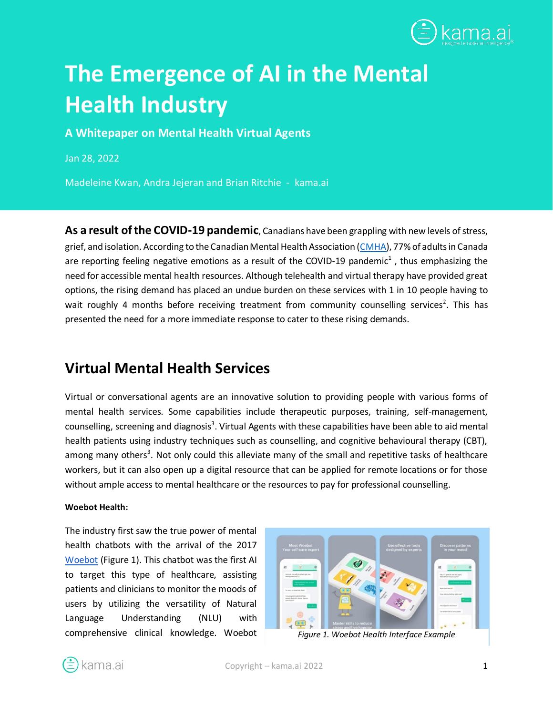

# **The Emergence of AI in the Mental Health Industry**

**A Whitepaper on Mental Health Virtual Agents**

Jan 28, 2022

Madeleine Kwan, Andra Jejeran and Brian Ritchie - kama.ai

**As a result of the COVID-19 pandemic**, Canadians have been grappling with new levels of stress, grief, and isolation. According to the Canadian Mental Health Association [\(CMHA\)](https://cmha.ca/how-are-we-feeling-canadians-are-worried-bored-stressed-lonely-and-sad/), 77% of adults in Canada are reporting feeling negative emotions as a result of the COVID-19 pandemic<sup>1</sup>, thus emphasizing the need for accessible mental health resources. Although telehealth and virtual therapy have provided great options, the rising demand has placed an undue burden on these services with 1 in 10 people having to wait roughly 4 months before receiving treatment from community counselling services<sup>2</sup>. This has presented the need for a more immediate response to cater to these rising demands.

### **Virtual Mental Health Services**

Virtual or conversational agents are an innovative solution to providing people with various forms of mental health services. Some capabilities include therapeutic purposes, training, self-management, counselling, screening and diagnosis<sup>3</sup>. Virtual Agents with these capabilities have been able to aid mental health patients using industry techniques such as counselling, and cognitive behavioural therapy (CBT), among many others<sup>3</sup>. Not only could this alleviate many of the small and repetitive tasks of healthcare workers, but it can also open up a digital resource that can be applied for remote locations or for those without ample access to mental healthcare or the resources to pay for professional counselling.

#### **Woebot Health:**

The industry first saw the true power of mental health chatbots with the arrival of the 201[7](https://woebothealth.com/) [Woebot](https://woebothealth.com/) (Figure 1). This chatbot was the first AI to target this type of healthcare, assisting patients and clinicians to monitor the moods of users by utilizing the versatility of Natural Language Understanding (NLU) with comprehensive clinical knowledge. Woebot *Figure 1. Woebot Health Interface Example*



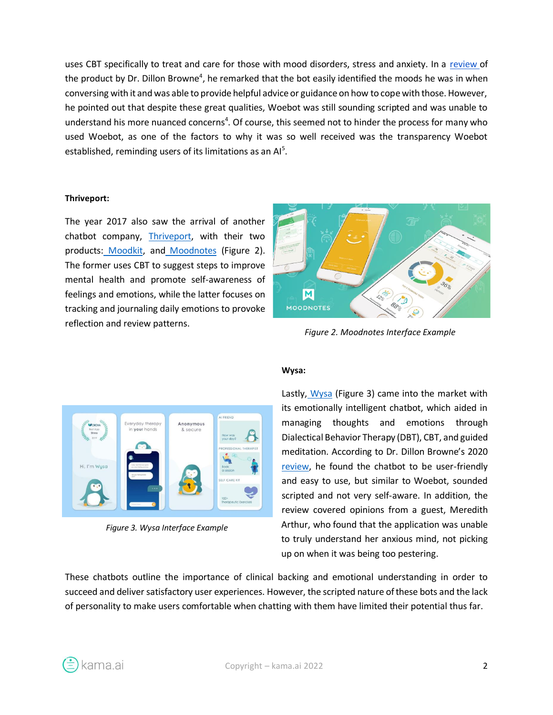uses CBT specifically to treat and care for those with mood disorders, stress and anxiety. In a [review o](https://www.healthline.com/health/mental-health/chatbots-reviews#Woebot)f the product by Dr. Dillon Browne<sup>4</sup>, he remarked that the bot easily identified the moods he was in when conversing with it and was able to provide helpful advice or guidance on how to cope with those. However, he pointed out that despite these great qualities, Woebot was still sounding scripted and was unable to understand his more nuanced concerns<sup>4</sup>. Of course, this seemed not to hinder the process for many who used Woebot, as one of the factors to why it was so well received was the transparency Woebot established, reminding users of its limitations as an  $Al<sup>5</sup>$ .

#### **Thriveport:**

The year 2017 also saw the arrival of another chatbot company, [Thriveport,](http://www.thriveport.com/) with their two products: [Moodkit,](http://www.thriveport.com/products/moodkit/) and [Moodnotes](http://www.thriveport.com/products/moodnotes/) (Figure 2). The former uses CBT to suggest steps to improve mental health and promote self-awareness of feelings and emotions, while the latter focuses on tracking and journaling daily emotions to provoke reflection and review patterns.



*Figure 2. Moodnotes Interface Example*



*Figure 3. Wysa Interface Example*

#### **Wysa:**

Lastly, [Wysa](https://www.wysa.io/) (Figure 3) came into the market with its emotionally intelligent chatbot, which aided in managing thoughts and emotions through Dialectical Behavior Therapy (DBT), CBT, and guided meditation. According to Dr. Dillon Browne's 2020 [review,](https://www.healthline.com/health/mental-health/chatbots-reviews#Wysa) he found the chatbot to be user-friendly and easy to use, but similar to Woebot, sounded scripted and not very self-aware. In addition, the review covered opinions from a guest, Meredith Arthur, who found that the application was unable to truly understand her anxious mind, not picking up on when it was being too pestering.

These chatbots outline the importance of clinical backing and emotional understanding in order to succeed and deliver satisfactory user experiences. However, the scripted nature of these bots and the lack of personality to make users comfortable when chatting with them have limited their potential thus far.

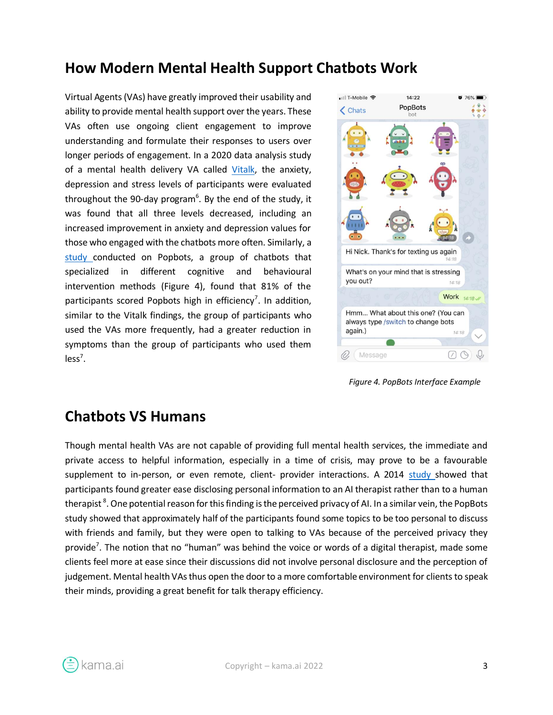## **How Modern Mental Health Support Chatbots Work**

Virtual Agents (VAs) have greatly improved their usability and ability to provide mental health support over the years. These VAs often use ongoing client engagement to improve understanding and formulate their responses to users over longer periods of engagement. In a 2020 data analysis study of a mental health delivery VA called [Vitalk,](https://vitalk.health/) the anxiety, depression and stress levels of participants were evaluated throughout the 90-day program<sup>6</sup>. By the end of the study, it was found that all three levels decreased, including an increased improvement in anxiety and depression values for those who engaged with the chatbots more often. Similarly, a [study](https://formative.jmir.org/2021/9/e25294) conducted on Popbots, a group of chatbots that specialized in different cognitive and behavioural intervention methods (Figure 4), found that 81% of the participants scored Popbots high in efficiency<sup>7</sup>. In addition, similar to the Vitalk findings, the group of participants who used the VAs more frequently, had a greater reduction in symptoms than the group of participants who used them  $less<sup>7</sup>$ .



*Figure 4. PopBots Interface Example*

#### **Chatbots VS Humans**

Though mental health VAs are not capable of providing full mental health services, the immediate and private access to helpful information, especially in a time of crisis, may prove to be a favourable supplement to in-person, or even remote, client- provider interactions. A 2014 [study s](https://doi.org/10.1016/j.chb.2014.04.043)howed that participants found greater ease disclosing personal information to an AI therapist rather than to a human therapist  $^8$ . One potential reason for this finding is the perceived privacy of AI. In a similar vein, the PopBots study showed that approximately half of the participants found some topics to be too personal to discuss with friends and family, but they were open to talking to VAs because of the perceived privacy they provide<sup>7</sup>. The notion that no "human" was behind the voice or words of a digital therapist, made some clients feel more at ease since their discussions did not involve personal disclosure and the perception of judgement. Mental health VAs thus open the door to a more comfortable environment for clients to speak their minds, providing a great benefit for talk therapy efficiency.

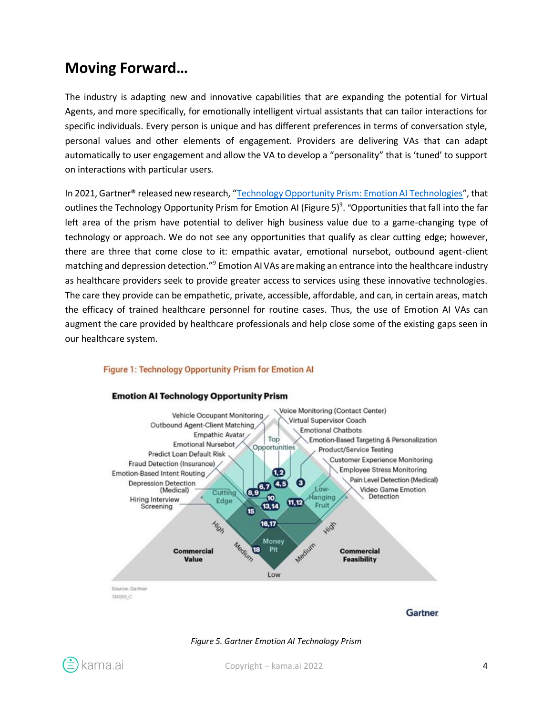### **Moving Forward…**

The industry is adapting new and innovative capabilities that are expanding the potential for Virtual Agents, and more specifically, for emotionally intelligent virtual assistants that can tailor interactions for specific individuals. Every person is unique and has different preferences in terms of conversation style, personal values and other elements of engagement. Providers are delivering VAs that can adapt automatically to user engagement and allow the VA to develop a "personality" that is 'tuned' to support on interactions with particular users.

In 2021, Gartner® released new research, "[Technology Opportunity Prism: Emotion AI Technologies](https://www.gartner.com/en/documents/4002580/technology-opportunity-prism-emotion-ai-technologies)", that outlines the Technology Opportunity Prism for Emotion AI (Figure 5)<sup>9</sup>. "Opportunities that fall into the far left area of the prism have potential to deliver high business value due to a game-changing type of technology or approach. We do not see any opportunities that qualify as clear cutting edge; however, there are three that come close to it: empathic avatar, emotional nursebot, outbound agent-client matching and depression detection."<sup>9</sup> Emotion AI VAs are making an entrance into the healthcare industry as healthcare providers seek to provide greater access to services using these innovative technologies. The care they provide can be empathetic, private, accessible, affordable, and can, in certain areas, match the efficacy of trained healthcare personnel for routine cases. Thus, the use of Emotion AI VAs can augment the care provided by healthcare professionals and help close some of the existing gaps seen in our healthcare system.

#### **Emotion AI Technology Opportunity Prism** Voice Monitoring (Contact Center) Vehicle Occupant Monitoring Virtual Supervisor Coach Outbound Agent-Client Matching **Emotional Chatbots** Empathic Avatar Top Emotion-Based Targeting & Personalization Emotional Nursebot Opportunities Product/Service Testing Predict Loan Default Risk **Customer Experience Monitoring** Fraud Detection (Insurance) **Employee Stress Monitoring**  $\overline{1,2}$ Emotion-Based Intent Routing Pain Level Detection (Medical) கை **Depression Detection**  $\bf{G}$ (Medical) Low-Video Game Emotion Cutting Hanging Detection Hiring Interview Edge  $(1, 12)$ Fruit  $(13, 14)$ Screening High HIDE  $16, 17$ Medium Money Medium 18 Pit **Commercial Commercial** Value **Feasibility** Low Source: Gartner 741689.C Gartner

#### Figure 1: Technology Opportunity Prism for Emotion Al



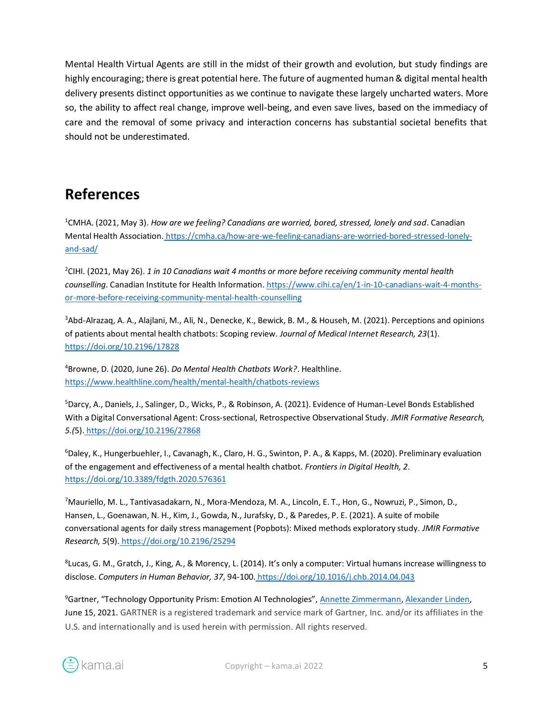Mental Health Virtual Agents are still in the midst of their growth and evolution, but study findings are highly encouraging; there is great potential here. The future of augmented human & digital mental health delivery presents distinct opportunities as we continue to navigate these largely uncharted waters. More so, the ability to affect real change, improve well-being, and even save lives, based on the immediacy of care and the removal of some privacy and interaction concerns has substantial societal benefits that should not be underestimated.

## **References**

<sup>1</sup>CMHA. (2021, May 3). *How are we feeling? Canadians are worried, bored, stressed, lonely and sad*. Canadian Mental Health Association. [https://cmha.ca/how-are-we-feeling-canadians-are-worried-bored-stressed-lonely](https://cmha.ca/how-are-we-feeling-canadians-are-worried-bored-stressed-lonely-and-sad/)[and-sad/](https://cmha.ca/how-are-we-feeling-canadians-are-worried-bored-stressed-lonely-and-sad/)

<sup>2</sup>CIHI. (2021, May 26). *1 in 10 Canadians wait 4 months or more before receiving community mental health counselling*. Canadian Institute for Health Information[. https://www.cihi.ca/en/1-in-10-canadians-wait-4-months](https://www.cihi.ca/en/1-in-10-canadians-wait-4-months-or-more-before-receiving-community-mental-health-counselling)[or-more-before-receiving-community-mental-health-counselling](https://www.cihi.ca/en/1-in-10-canadians-wait-4-months-or-more-before-receiving-community-mental-health-counselling)

3Abd-Alrazaq, A. A., Alajlani, M., Ali, N., Denecke, K., Bewick, B. M., & Househ, M. (2021). Perceptions and opinions of patients about mental health chatbots: Scoping review. *Journal of Medical Internet Research, 23*(1[\).](https://doi.org/10.2196/17828) <https://doi.org/10.2196/17828>

<sup>4</sup>Browne, D. (2020, June 26). *Do Mental Health Chatbots Work?*. Healthline[.](https://www.healthline.com/health/mental-health/chatbots-reviews) <https://www.healthline.com/health/mental-health/chatbots-reviews>

<sup>5</sup>Darcy, A., Daniels, J., Salinger, D., Wicks, P., & Robinson, A. (2021). Evidence of Human-Level Bonds Established With a Digital Conversational Agent: Cross-sectional, Retrospective Observational Study. *JMIR Formative Research, 5.(*5). <https://doi.org/10.2196/27868>

<sup>6</sup>Daley, K., Hungerbuehler, I., Cavanagh, K., Claro, H. G., Swinton, P. A., & Kapps, M. (2020). Preliminary evaluation of the engagement and effectiveness of a mental health chatbot. *Frontiers in Digital Health, 2*[.](https://doi.org/10.3389/fdgth.2020.576361) <https://doi.org/10.3389/fdgth.2020.576361>

<sup>7</sup>Mauriello, M. L., Tantivasadakarn, N., Mora-Mendoza, M. A., Lincoln, E. T., Hon, G., Nowruzi, P., Simon, D., Hansen, L., Goenawan, N. H., Kim, J., Gowda, N., Jurafsky, D., & Paredes, P. E. (2021). A suite of mobile conversational agents for daily stress management (Popbots): Mixed methods exploratory study. *JMIR Formative Research, 5*(9). <https://doi.org/10.2196/25294>

8 Lucas, G. M., Gratch, J., King, A., & Morency, L. (2014). It's only a computer: Virtual humans increase willingness to disclose. *Computers in Human Behavior, 37*, 94-100. <https://doi.org/10.1016/j.chb.2014.04.043>

<sup>9</sup>Gartner, "Technology Opportunity Prism: Emotion AI Technologies", [Annette Zimmermann,](https://www.gartner.com/analyst/28113) [Alexander Linden,](https://www.gartner.com/analyst/12496) June 15, 2021. GARTNER is a registered trademark and service mark of Gartner, Inc. and/or its affiliates in the U.S. and internationally and is used herein with permission. All rights reserved.